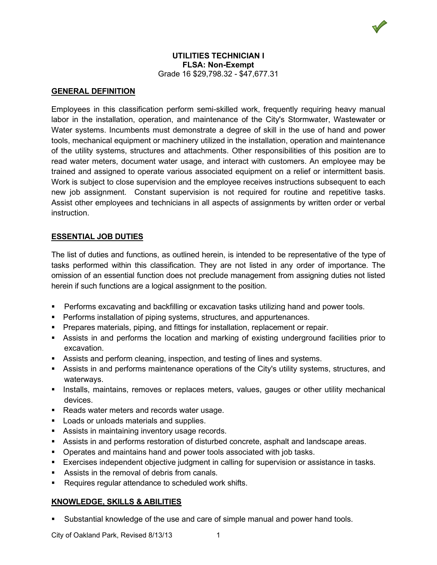## **UTILITIES TECHNICIAN I FLSA: Non-Exempt** Grade 16 \$29,798.32 - \$47,677.31

## **GENERAL DEFINITION**

Employees in this classification perform semi-skilled work, frequently requiring heavy manual labor in the installation, operation, and maintenance of the City's Stormwater, Wastewater or Water systems. Incumbents must demonstrate a degree of skill in the use of hand and power tools, mechanical equipment or machinery utilized in the installation, operation and maintenance of the utility systems, structures and attachments. Other responsibilities of this position are to read water meters, document water usage, and interact with customers. An employee may be trained and assigned to operate various associated equipment on a relief or intermittent basis. Work is subject to close supervision and the employee receives instructions subsequent to each new job assignment. Constant supervision is not required for routine and repetitive tasks. Assist other employees and technicians in all aspects of assignments by written order or verbal instruction.

## **ESSENTIAL JOB DUTIES**

The list of duties and functions, as outlined herein, is intended to be representative of the type of tasks performed within this classification. They are not listed in any order of importance. The omission of an essential function does not preclude management from assigning duties not listed herein if such functions are a logical assignment to the position.

- Performs excavating and backfilling or excavation tasks utilizing hand and power tools.
- **Performs installation of piping systems, structures, and appurtenances.**
- Prepares materials, piping, and fittings for installation, replacement or repair.
- Assists in and performs the location and marking of existing underground facilities prior to excavation.
- Assists and perform cleaning, inspection, and testing of lines and systems.
- Assists in and performs maintenance operations of the City's utility systems, structures, and waterways.
- **Installs, maintains, removes or replaces meters, values, gauges or other utility mechanical interation** devices.
- Reads water meters and records water usage.
- **Loads or unloads materials and supplies.**
- **Assists in maintaining inventory usage records.**
- Assists in and performs restoration of disturbed concrete, asphalt and landscape areas.
- Operates and maintains hand and power tools associated with job tasks.
- Exercises independent objective judgment in calling for supervision or assistance in tasks.
- Assists in the removal of debris from canals.
- Requires regular attendance to scheduled work shifts.

### **KNOWLEDGE, SKILLS & ABILITIES**

Substantial knowledge of the use and care of simple manual and power hand tools.

City of Oakland Park, Revised 8/13/13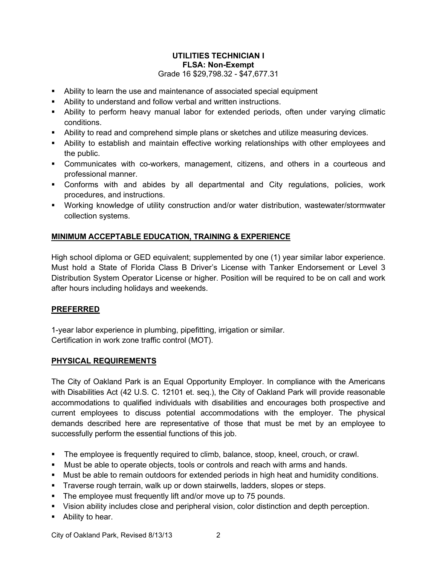# **UTILITIES TECHNICIAN I FLSA: Non-Exempt** Grade 16 \$29,798.32 - \$47,677.31

- Ability to learn the use and maintenance of associated special equipment
- Ability to understand and follow verbal and written instructions.
- Ability to perform heavy manual labor for extended periods, often under varying climatic conditions.
- Ability to read and comprehend simple plans or sketches and utilize measuring devices.
- Ability to establish and maintain effective working relationships with other employees and the public.
- Communicates with co-workers, management, citizens, and others in a courteous and professional manner.
- Conforms with and abides by all departmental and City regulations, policies, work procedures, and instructions.
- Working knowledge of utility construction and/or water distribution, wastewater/stormwater collection systems.

## **MINIMUM ACCEPTABLE EDUCATION, TRAINING & EXPERIENCE**

High school diploma or GED equivalent; supplemented by one (1) year similar labor experience. Must hold a State of Florida Class B Driver's License with Tanker Endorsement or Level 3 Distribution System Operator License or higher. Position will be required to be on call and work after hours including holidays and weekends.

### **PREFERRED**

1-year labor experience in plumbing, pipefitting, irrigation or similar. Certification in work zone traffic control (MOT).

### **PHYSICAL REQUIREMENTS**

The City of Oakland Park is an Equal Opportunity Employer. In compliance with the Americans with Disabilities Act (42 U.S. C. 12101 et. seq.), the City of Oakland Park will provide reasonable accommodations to qualified individuals with disabilities and encourages both prospective and current employees to discuss potential accommodations with the employer. The physical demands described here are representative of those that must be met by an employee to successfully perform the essential functions of this job.

- **The employee is frequently required to climb, balance, stoop, kneel, crouch, or crawl.**
- Must be able to operate objects, tools or controls and reach with arms and hands.
- Must be able to remain outdoors for extended periods in high heat and humidity conditions.
- Traverse rough terrain, walk up or down stairwells, ladders, slopes or steps.
- The employee must frequently lift and/or move up to 75 pounds.
- Vision ability includes close and peripheral vision, color distinction and depth perception.
- Ability to hear.

City of Oakland Park, Revised 8/13/13 2